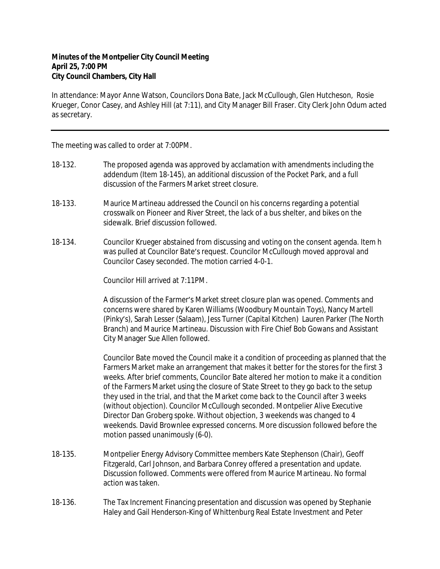## **Minutes of the Montpelier City Council Meeting April 25, 7:00 PM City Council Chambers, City Hall**

In attendance: Mayor Anne Watson, Councilors Dona Bate, Jack McCullough, Glen Hutcheson, Rosie Krueger, Conor Casey, and Ashley Hill (at 7:11), and City Manager Bill Fraser. City Clerk John Odum acted as secretary.

The meeting was called to order at 7:00PM.

- 18-132. The proposed agenda was approved by acclamation with amendments including the addendum (Item 18-145), an additional discussion of the Pocket Park, and a full discussion of the Farmers Market street closure.
- 18-133. Maurice Martineau addressed the Council on his concerns regarding a potential crosswalk on Pioneer and River Street, the lack of a bus shelter, and bikes on the sidewalk. Brief discussion followed.
- 18-134. Councilor Krueger abstained from discussing and voting on the consent agenda. Item h was pulled at Councilor Bate's request. Councilor McCullough moved approval and Councilor Casey seconded. The motion carried 4-0-1.

Councilor Hill arrived at 7:11PM.

A discussion of the Farmer's Market street closure plan was opened. Comments and concerns were shared by Karen Williams (Woodbury Mountain Toys), Nancy Martell (Pinky's), Sarah Lesser (Salaam), Jess Turner (Capital Kitchen) Lauren Parker (The North Branch) and Maurice Martineau. Discussion with Fire Chief Bob Gowans and Assistant City Manager Sue Allen followed.

Councilor Bate moved the Council make it a condition of proceeding as planned that the Farmers Market make an arrangement that makes it better for the stores for the first 3 weeks. After brief comments, Councilor Bate altered her motion to make it a condition of the Farmers Market using the closure of State Street to they go back to the setup they used in the trial, and that the Market come back to the Council after 3 weeks (without objection). Councilor McCullough seconded. Montpelier Alive Executive Director Dan Groberg spoke. Without objection, 3 weekends was changed to 4 weekends. David Brownlee expressed concerns. More discussion followed before the motion passed unanimously (6-0).

- 18-135. Montpelier Energy Advisory Committee members Kate Stephenson (Chair), Geoff Fitzgerald, Carl Johnson, and Barbara Conrey offered a presentation and update. Discussion followed. Comments were offered from Maurice Martineau. No formal action was taken.
- 18-136. The Tax Increment Financing presentation and discussion was opened by Stephanie Haley and Gail Henderson-King of Whittenburg Real Estate Investment and Peter